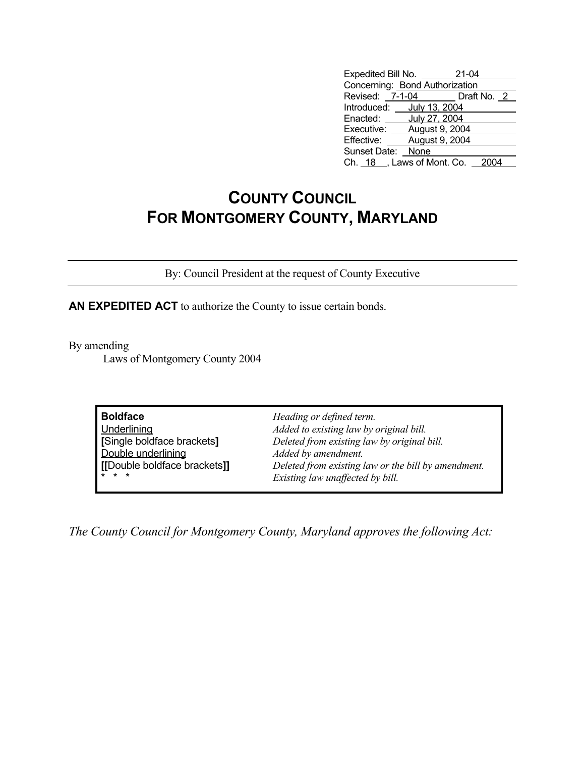| Expedited Bill No.             | 21-04                       |  |  |  |
|--------------------------------|-----------------------------|--|--|--|
| Concerning: Bond Authorization |                             |  |  |  |
|                                | Revised: 7-1-04 Draft No. 2 |  |  |  |
| Introduced: July 13, 2004      |                             |  |  |  |
| Enacted:                       | July 27, 2004               |  |  |  |
| Executive:                     | August 9, 2004              |  |  |  |
| Effective: August 9, 2004      |                             |  |  |  |
| Sunset Date: None              |                             |  |  |  |
| Ch. 18, Laws of Mont. Co.      |                             |  |  |  |

## **COUNTY COUNCIL FOR MONTGOMERY COUNTY, MARYLAND**

By: Council President at the request of County Executive

**AN EXPEDITED ACT** to authorize the County to issue certain bonds.

By amending

Laws of Montgomery County 2004

| <b>Boldface</b><br>Underlining<br>[Single boldface brackets]<br>Double underlining<br>[[Double boldface brackets]]<br>$* * *$ | Heading or defined term.<br>Added to existing law by original bill.<br>Deleted from existing law by original bill.<br>Added by amendment.<br>Deleted from existing law or the bill by amendment. |  |
|-------------------------------------------------------------------------------------------------------------------------------|--------------------------------------------------------------------------------------------------------------------------------------------------------------------------------------------------|--|
|                                                                                                                               | Existing law unaffected by bill.                                                                                                                                                                 |  |

*The County Council for Montgomery County, Maryland approves the following Act:*